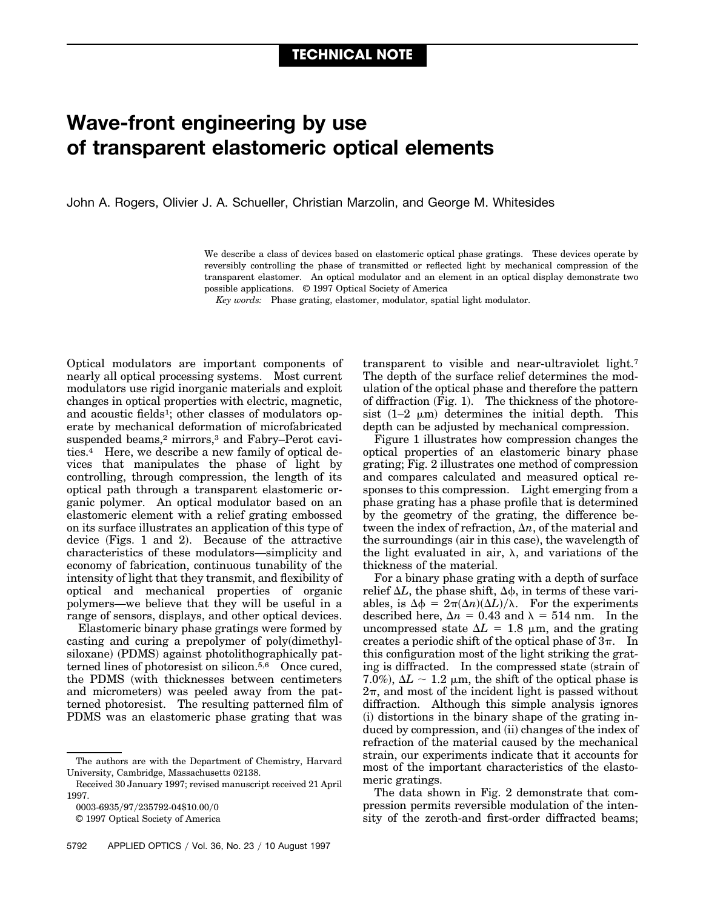## **Wave-front engineering by use of transparent elastomeric optical elements**

John A. Rogers, Olivier J. A. Schueller, Christian Marzolin, and George M. Whitesides

We describe a class of devices based on elastomeric optical phase gratings. These devices operate by reversibly controlling the phase of transmitted or reflected light by mechanical compression of the transparent elastomer. An optical modulator and an element in an optical display demonstrate two possible applications. © 1997 Optical Society of America

*Key words:* Phase grating, elastomer, modulator, spatial light modulator.

Optical modulators are important components of nearly all optical processing systems. Most current modulators use rigid inorganic materials and exploit changes in optical properties with electric, magnetic, and acoustic fields<sup>1</sup>; other classes of modulators operate by mechanical deformation of microfabricated suspended beams,<sup>2</sup> mirrors,<sup>3</sup> and Fabry–Perot cavities.4 Here, we describe a new family of optical devices that manipulates the phase of light by controlling, through compression, the length of its optical path through a transparent elastomeric organic polymer. An optical modulator based on an elastomeric element with a relief grating embossed on its surface illustrates an application of this type of device (Figs. 1 and 2). Because of the attractive characteristics of these modulators—simplicity and economy of fabrication, continuous tunability of the intensity of light that they transmit, and flexibility of optical and mechanical properties of organic polymers—we believe that they will be useful in a range of sensors, displays, and other optical devices.

Elastomeric binary phase gratings were formed by casting and curing a prepolymer of poly(dimethylsiloxane) (PDMS) against photolithographically patterned lines of photoresist on silicon.5,6 Once cured, the PDMS (with thicknesses between centimeters and micrometers) was peeled away from the patterned photoresist. The resulting patterned film of PDMS was an elastomeric phase grating that was

transparent to visible and near-ultraviolet light.7 The depth of the surface relief determines the modulation of the optical phase and therefore the pattern of diffraction  $(Fig. 1)$ . The thickness of the photoresist  $(1-2 \mu m)$  determines the initial depth. This depth can be adjusted by mechanical compression.

Figure 1 illustrates how compression changes the optical properties of an elastomeric binary phase grating; Fig. 2 illustrates one method of compression and compares calculated and measured optical responses to this compression. Light emerging from a phase grating has a phase profile that is determined by the geometry of the grating, the difference between the index of refraction,  $\Delta n$ , of the material and the surroundings (air in this case), the wavelength of the light evaluated in air,  $\lambda$ , and variations of the thickness of the material.

For a binary phase grating with a depth of surface relief  $\Delta L$ , the phase shift,  $\Delta \phi$ , in terms of these variables, is  $\Delta \phi = 2\pi (\Delta n)(\Delta L)/\lambda$ . For the experiments described here,  $\Delta n = 0.43$  and  $\lambda = 514$  nm. In the uncompressed state  $\Delta L = 1.8 \mu m$ , and the grating creates a periodic shift of the optical phase of  $3\pi$ . In this configuration most of the light striking the grating is diffracted. In the compressed state (strain of 7.0%),  $\Delta L \sim 1.2 \mu m$ , the shift of the optical phase is  $2\pi$ , and most of the incident light is passed without diffraction. Although this simple analysis ignores  $(i)$  distortions in the binary shape of the grating induced by compression, and (ii) changes of the index of refraction of the material caused by the mechanical strain, our experiments indicate that it accounts for most of the important characteristics of the elastomeric gratings.

The data shown in Fig. 2 demonstrate that compression permits reversible modulation of the intensity of the zeroth-and first-order diffracted beams;

The authors are with the Department of Chemistry, Harvard University, Cambridge, Massachusetts 02138.

Received 30 January 1997; revised manuscript received 21 April 1997.

<sup>0003-6935/97/235792-04\$10.00/0</sup> 

<sup>© 1997</sup> Optical Society of America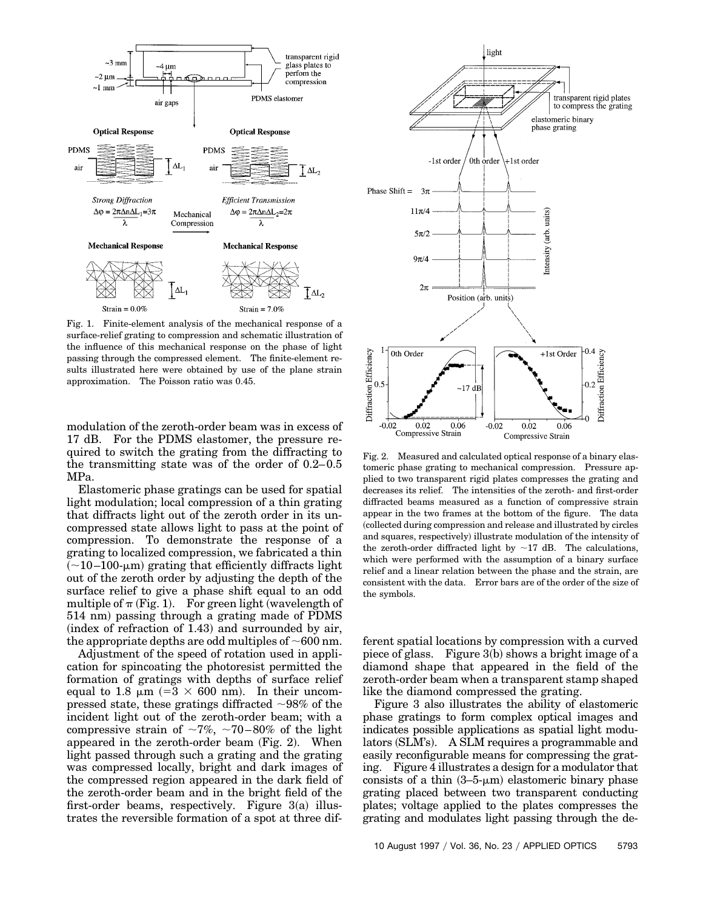

Fig. 1. Finite-element analysis of the mechanical response of a surface-relief grating to compression and schematic illustration of the influence of this mechanical response on the phase of light passing through the compressed element. The finite-element results illustrated here were obtained by use of the plane strain approximation. The Poisson ratio was 0.45.

modulation of the zeroth-order beam was in excess of 17 dB. For the PDMS elastomer, the pressure required to switch the grating from the diffracting to the transmitting state was of the order of 0.2–0.5 MPa.

Elastomeric phase gratings can be used for spatial light modulation; local compression of a thin grating that diffracts light out of the zeroth order in its uncompressed state allows light to pass at the point of compression. To demonstrate the response of a grating to localized compression, we fabricated a thin  $(-10-100\text{-}\mu\text{m})$  grating that efficiently diffracts light out of the zeroth order by adjusting the depth of the surface relief to give a phase shift equal to an odd multiple of  $\pi$  (Fig. 1). For green light (wavelength of 514 nm! passing through a grating made of PDMS  $(index of refraction of 1.43)$  and surrounded by air, the appropriate depths are odd multiples of  $\sim600$  nm.

Adjustment of the speed of rotation used in application for spincoating the photoresist permitted the formation of gratings with depths of surface relief equal to 1.8  $\mu$ m (=3  $\times$  600 nm). In their uncompressed state, these gratings diffracted  $\sim$ 98% of the incident light out of the zeroth-order beam; with a compressive strain of  $\sim 7\%$ ,  $\sim 70-80\%$  of the light appeared in the zeroth-order beam  $(Fig. 2)$ . When light passed through such a grating and the grating was compressed locally, bright and dark images of the compressed region appeared in the dark field of the zeroth-order beam and in the bright field of the first-order beams, respectively. Figure  $3(a)$  illustrates the reversible formation of a spot at three dif-



Fig. 2. Measured and calculated optical response of a binary elastomeric phase grating to mechanical compression. Pressure applied to two transparent rigid plates compresses the grating and decreases its relief. The intensities of the zeroth- and first-order diffracted beams measured as a function of compressive strain appear in the two frames at the bottom of the figure. The data ~collected during compression and release and illustrated by circles and squares, respectively) illustrate modulation of the intensity of the zeroth-order diffracted light by  $\sim$ 17 dB. The calculations, which were performed with the assumption of a binary surface relief and a linear relation between the phase and the strain, are consistent with the data. Error bars are of the order of the size of the symbols.

ferent spatial locations by compression with a curved piece of glass. Figure  $3(b)$  shows a bright image of a diamond shape that appeared in the field of the zeroth-order beam when a transparent stamp shaped like the diamond compressed the grating.

Figure 3 also illustrates the ability of elastomeric phase gratings to form complex optical images and indicates possible applications as spatial light modulators (SLM's). A SLM requires a programmable and easily reconfigurable means for compressing the grating. Figure 4 illustrates a design for a modulator that consists of a thin  $(3-5-\mu m)$  elastomeric binary phase grating placed between two transparent conducting plates; voltage applied to the plates compresses the grating and modulates light passing through the de-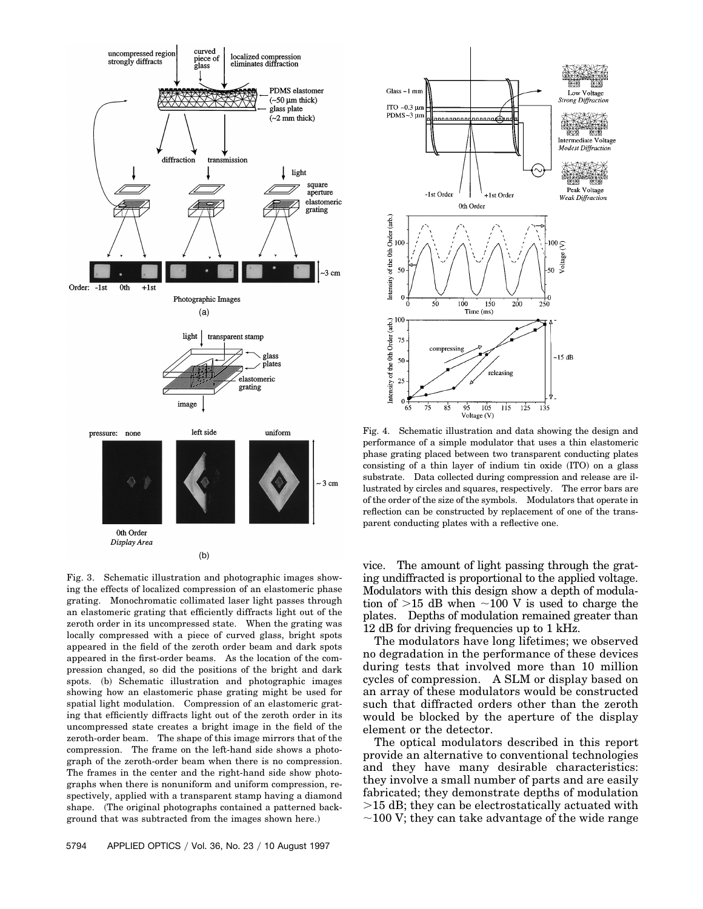

Fig. 3. Schematic illustration and photographic images showing the effects of localized compression of an elastomeric phase grating. Monochromatic collimated laser light passes through an elastomeric grating that efficiently diffracts light out of the zeroth order in its uncompressed state. When the grating was locally compressed with a piece of curved glass, bright spots appeared in the field of the zeroth order beam and dark spots appeared in the first-order beams. As the location of the compression changed, so did the positions of the bright and dark spots. (b) Schematic illustration and photographic images showing how an elastomeric phase grating might be used for spatial light modulation. Compression of an elastomeric grating that efficiently diffracts light out of the zeroth order in its uncompressed state creates a bright image in the field of the zeroth-order beam. The shape of this image mirrors that of the compression. The frame on the left-hand side shows a photograph of the zeroth-order beam when there is no compression. The frames in the center and the right-hand side show photographs when there is nonuniform and uniform compression, respectively, applied with a transparent stamp having a diamond shape. (The original photographs contained a patterned background that was subtracted from the images shown here.)



Fig. 4. Schematic illustration and data showing the design and performance of a simple modulator that uses a thin elastomeric phase grating placed between two transparent conducting plates consisting of a thin layer of indium tin oxide  $(ITO)$  on a glass substrate. Data collected during compression and release are illustrated by circles and squares, respectively. The error bars are of the order of the size of the symbols. Modulators that operate in reflection can be constructed by replacement of one of the transparent conducting plates with a reflective one.

vice. The amount of light passing through the grating undiffracted is proportional to the applied voltage. Modulators with this design show a depth of modulation of  $>15$  dB when  $\sim$ 100 V is used to charge the plates. Depths of modulation remained greater than 12 dB for driving frequencies up to 1 kHz.

The modulators have long lifetimes; we observed no degradation in the performance of these devices during tests that involved more than 10 million cycles of compression. A SLM or display based on an array of these modulators would be constructed such that diffracted orders other than the zeroth would be blocked by the aperture of the display element or the detector.

The optical modulators described in this report provide an alternative to conventional technologies and they have many desirable characteristics: they involve a small number of parts and are easily fabricated; they demonstrate depths of modulation  $>15$  dB; they can be electrostatically actuated with  $\sim$ 100 V; they can take advantage of the wide range